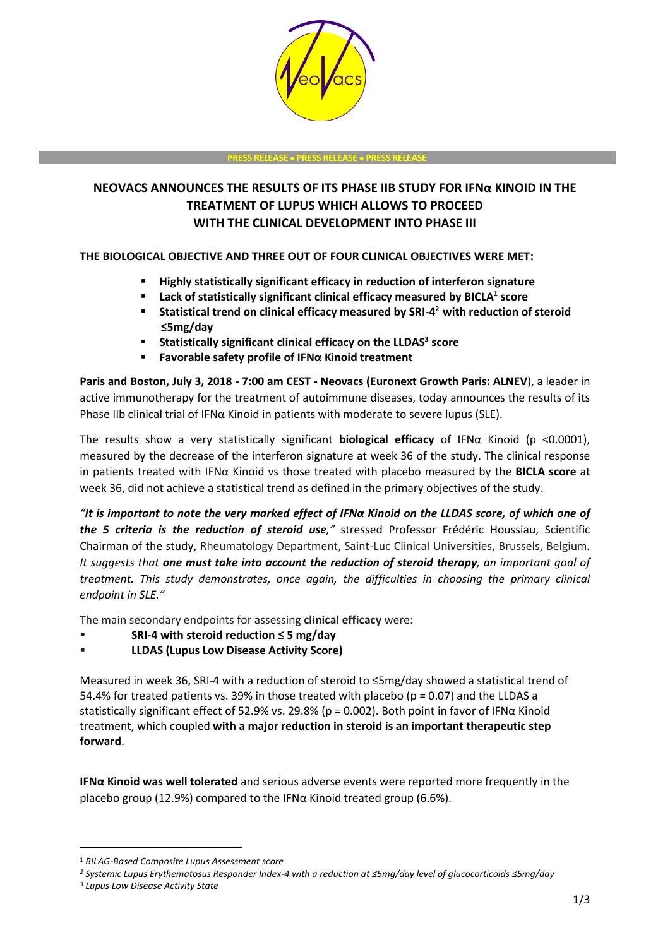

#### **PRESS RELEASE PRESS RELEASE PRESS RELEASE**

# **NEOVACS ANNOUNCES THE RESULTS OF ITS PHASE IIB STUDY FOR IFNα KINOID IN THE TREATMENT OF LUPUS WHICH ALLOWS TO PROCEED WITH THE CLINICAL DEVELOPMENT INTO PHASE III**

## **THE BIOLOGICAL OBJECTIVE AND THREE OUT OF FOUR CLINICAL OBJECTIVES WERE MET:**

- **Highly statistically significant efficacy in reduction of interferon signature**
- **Lack of statistically significant clinical efficacy measured by BICLA<sup>1</sup> score**
- **Statistical trend on clinical efficacy measured by SRI-4 <sup>2</sup>with reduction of steroid ≤5mg/day**
- **Statistically significant clinical efficacy on the LLDAS<sup>3</sup> score**
- **Favorable safety profile of IFNα Kinoid treatment**

**Paris and Boston, July 3, 2018 - 7:00 am CEST - Neovacs (Euronext Growth Paris: ALNEV**), a leader in active immunotherapy for the treatment of autoimmune diseases, today announces the results of its Phase IIb clinical trial of IFNα Kinoid in patients with moderate to severe lupus (SLE).

The results show a very statistically significant **biological efficacy** of IFNα Kinoid (p <0.0001), measured by the decrease of the interferon signature at week 36 of the study. The clinical response in patients treated with IFNα Kinoid vs those treated with placebo measured by the **BICLA score** at week 36, did not achieve a statistical trend as defined in the primary objectives of the study.

*"It is important to note the very marked effect of IFNα Kinoid on the LLDAS score, of which one of the 5 criteria is the reduction of steroid use,"* stressed Professor Frédéric Houssiau, Scientific Chairman of the study, Rheumatology Department, Saint-Luc Clinical Universities, Brussels, Belgium*. It suggests that one must take into account the reduction of steroid therapy, an important goal of treatment. This study demonstrates, once again, the difficulties in choosing the primary clinical endpoint in SLE."*

The main secondary endpoints for assessing **clinical efficacy** were:

- **SRI-4 with steroid reduction ≤ 5 mg/day**
- **LLDAS (Lupus Low Disease Activity Score)**

Measured in week 36, SRI-4 with a reduction of steroid to ≤5mg/day showed a statistical trend of 54.4% for treated patients vs. 39% in those treated with placebo ( $p = 0.07$ ) and the LLDAS a statistically significant effect of 52.9% vs. 29.8% (p = 0.002). Both point in favor of IFNα Kinoid treatment, which coupled **with a major reduction in steroid is an important therapeutic step forward**.

**IFNα Kinoid was well tolerated** and serious adverse events were reported more frequently in the placebo group (12.9%) compared to the IFN $\alpha$  Kinoid treated group (6.6%).

 $\ddot{ }$ 

<sup>1</sup> *BILAG-Based Composite Lupus Assessment score*

*<sup>2</sup> Systemic Lupus Erythematosus Responder Index-4 with a reduction at ≤5mg/day level of glucocorticoids ≤5mg/day*

*<sup>3</sup> Lupus Low Disease Activity State*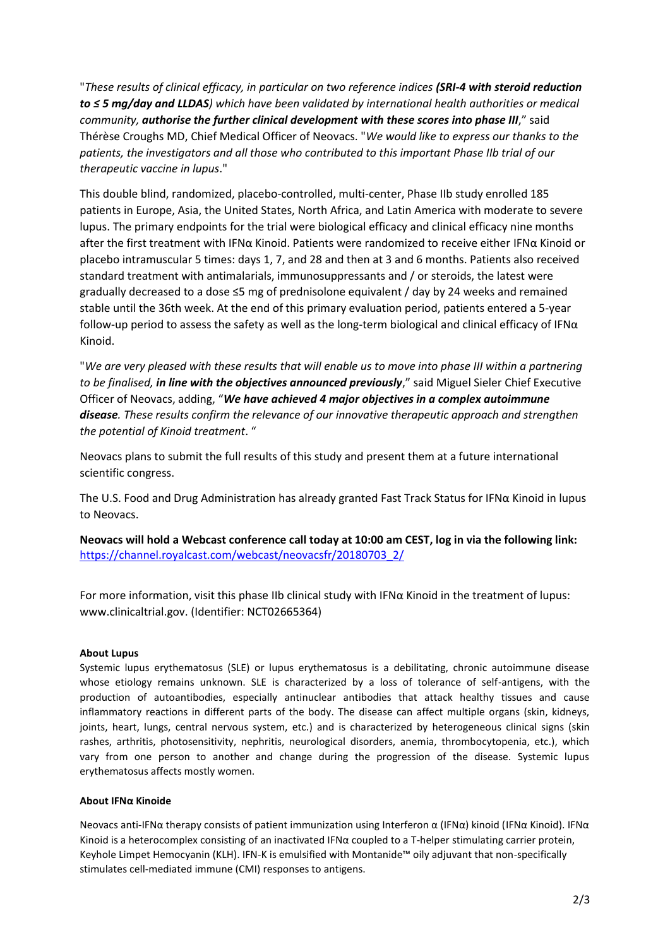"*These results of clinical efficacy, in particular on two reference indices (SRI-4 with steroid reduction to ≤ 5 mg/day and LLDAS) which have been validated by international health authorities or medical community, authorise the further clinical development with these scores into phase III*," said Thérèse Croughs MD, Chief Medical Officer of Neovacs. "*We would like to express our thanks to the patients, the investigators and all those who contributed to this important Phase IIb trial of our therapeutic vaccine in lupus*."

This double blind, randomized, placebo-controlled, multi-center, Phase IIb study enrolled 185 patients in Europe, Asia, the United States, North Africa, and Latin America with moderate to severe lupus. The primary endpoints for the trial were biological efficacy and clinical efficacy nine months after the first treatment with IFNα Kinoid. Patients were randomized to receive either IFNα Kinoid or placebo intramuscular 5 times: days 1, 7, and 28 and then at 3 and 6 months. Patients also received standard treatment with antimalarials, immunosuppressants and / or steroids, the latest were gradually decreased to a dose ≤5 mg of prednisolone equivalent / day by 24 weeks and remained stable until the 36th week. At the end of this primary evaluation period, patients entered a 5-year follow-up period to assess the safety as well as the long-term biological and clinical efficacy of IFNα Kinoid.

"*We are very pleased with these results that will enable us to move into phase III within a partnering to be finalised, in line with the objectives announced previously*," said Miguel Sieler Chief Executive Officer of Neovacs, adding, "*We have achieved 4 major objectives in a complex autoimmune disease. These results confirm the relevance of our innovative therapeutic approach and strengthen the potential of Kinoid treatment*. "

Neovacs plans to submit the full results of this study and present them at a future international scientific congress.

The U.S. Food and Drug Administration has already granted Fast Track Status for IFNα Kinoid in lupus to Neovacs.

**Neovacs will hold a Webcast conference call today at 10:00 am CEST, log in via the following link:** [https://channel.royalcast.com/webcast/neovacsfr/20180703\\_2/](https://channel.royalcast.com/webcast/neovacsfr/20180703_2/)

For more information, visit this phase IIb clinical study with IFNα Kinoid in the treatment of lupus: www.clinicaltrial.gov. (Identifier: NCT02665364)

### **About Lupus**

Systemic lupus erythematosus (SLE) or lupus erythematosus is a debilitating, chronic autoimmune disease whose etiology remains unknown. SLE is characterized by a loss of tolerance of self-antigens, with the production of autoantibodies, especially antinuclear antibodies that attack healthy tissues and cause inflammatory reactions in different parts of the body. The disease can affect multiple organs (skin, kidneys, joints, heart, lungs, central nervous system, etc.) and is characterized by heterogeneous clinical signs (skin rashes, arthritis, photosensitivity, nephritis, neurological disorders, anemia, thrombocytopenia, etc.), which vary from one person to another and change during the progression of the disease. Systemic lupus erythematosus affects mostly women.

### **About IFNα Kinoide**

Neovacs anti-IFNα therapy consists of patient immunization using Interferon α (IFNα) kinoid (IFNα Kinoid). IFNα Kinoid is a heterocomplex consisting of an inactivated IFNα coupled to a T-helper stimulating carrier protein, Keyhole Limpet Hemocyanin (KLH). IFN-K is emulsified with Montanide™ oily adjuvant that non-specifically stimulates cell-mediated immune (CMI) responses to antigens.